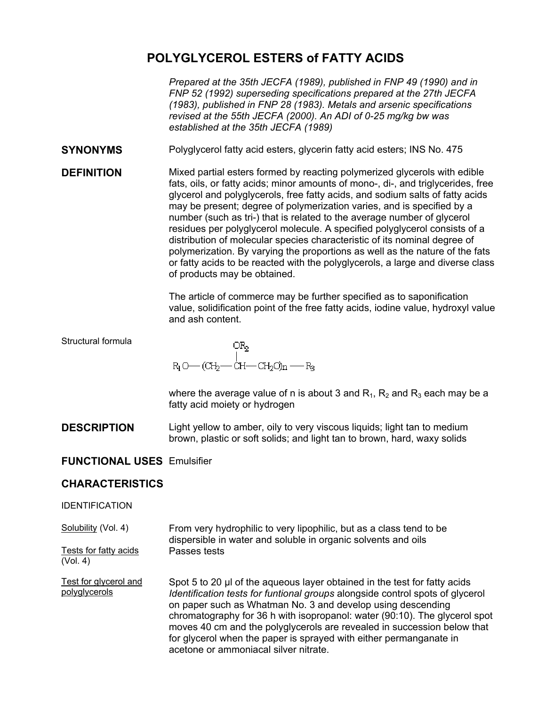# **POLYGLYCEROL ESTERS of FATTY ACIDS**

*Prepared at the 35th JECFA (1989), published in FNP 49 (1990) and in FNP 52 (1992) superseding specifications prepared at the 27th JECFA (1983), published in FNP 28 (1983). Metals and arsenic specifications revised at the 55th JECFA (2000). An ADI of 0-25 mg/kg bw was established at the 35th JECFA (1989)* 

- **SYNONYMS** Polyglycerol fatty acid esters, glycerin fatty acid esters; INS No. 475
- **DEFINITION** Mixed partial esters formed by reacting polymerized glycerols with edible fats, oils, or fatty acids; minor amounts of mono-, di-, and triglycerides, free glycerol and polyglycerols, free fatty acids, and sodium salts of fatty acids may be present; degree of polymerization varies, and is specified by a number (such as tri-) that is related to the average number of glycerol residues per polyglycerol molecule. A specified polyglycerol consists of a distribution of molecular species characteristic of its nominal degree of polymerization. By varying the proportions as well as the nature of the fats or fatty acids to be reacted with the polyglycerols, a large and diverse class of products may be obtained.

The article of commerce may be further specified as to saponification value, solidification point of the free fatty acids, iodine value, hydroxyl value and ash content.

#### Structural formula

OR<sub>2</sub>  $R_1O$   $\left(\text{CH}_2\text{---CH}\text{---CH}_2\text{O}\right)$ n  $\leftarrow$   $R_3$ 

where the average value of n is about 3 and  $R_1$ ,  $R_2$  and  $R_3$  each may be a fatty acid moiety or hydrogen

**DESCRIPTION** Light yellow to amber, oily to very viscous liquids; light tan to medium brown, plastic or soft solids; and light tan to brown, hard, waxy solids

## **FUNCTIONAL USES** Emulsifier

## **CHARACTERISTICS**

#### IDENTIFICATION

Solubility (Vol. 4) From very hydrophilic to very lipophilic, but as a class tend to be dispersible in water and soluble in organic solvents and oils Tests for fatty acids (Vol. 4) Passes tests

Test for glycerol and polyglycerols Spot 5 to 20 µ of the aqueous layer obtained in the test for fatty acids *Identification tests for funtional groups* alongside control spots of glycerol on paper such as Whatman No. 3 and develop using descending chromatography for 36 h with isopropanol: water (90:10). The glycerol spot moves 40 cm and the polyglycerols are revealed in succession below that for glycerol when the paper is sprayed with either permanganate in acetone or ammoniacal silver nitrate.